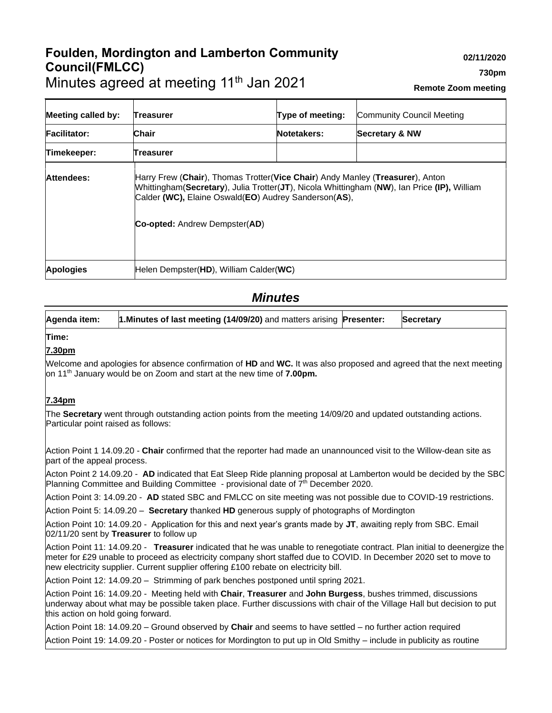# **Foulden, Mordington and Lamberton Community Council(FMLCC)** Minutes agreed at meeting 11<sup>th</sup> Jan 2021

| <b>Meeting called by:</b> | Treasurer                                                                                    | Type of meeting:                                                                                                                                                             | Community Council Meeting |
|---------------------------|----------------------------------------------------------------------------------------------|------------------------------------------------------------------------------------------------------------------------------------------------------------------------------|---------------------------|
| <b>Facilitator:</b>       | <b>Chair</b>                                                                                 | Notetakers:                                                                                                                                                                  | <b>Secretary &amp; NW</b> |
| Timekeeper:               | Treasurer                                                                                    |                                                                                                                                                                              |                           |
| Attendees:                | Calder (WC), Elaine Oswald(EO) Audrey Sanderson(AS),<br><b>Co-opted:</b> Andrew Dempster(AD) | Harry Frew (Chair), Thomas Trotter(Vice Chair) Andy Manley (Treasurer), Anton<br>Whittingham(Secretary), Julia Trotter(JT), Nicola Whittingham (NW), Ian Price (IP), William |                           |

**Apologies** Helen Dempster(**HD**), William Calder(**WC**)

## *Minutes*

**Agenda item: 1.Minutes of last meeting (14/09/20)** and matters arising **Presenter: Secretary Time:**

## **7.30pm**

Welcome and apologies for absence confirmation of **HD** and **WC.** It was also proposed and agreed that the next meeting on 11th January would be on Zoom and start at the new time of **7.00pm.** 

#### **7.34pm**

The **Secretary** went through outstanding action points from the meeting 14/09/20 and updated outstanding actions. Particular point raised as follows:

Action Point 1 14.09.20 - **Chair** confirmed that the reporter had made an unannounced visit to the Willow-dean site as part of the appeal process.

Acton Point 2 14.09.20 - **AD** indicated that Eat Sleep Ride planning proposal at Lamberton would be decided by the SBC Planning Committee and Building Committee - provisional date of 7<sup>th</sup> December 2020.

Action Point 3: 14.09.20 - **AD** stated SBC and FMLCC on site meeting was not possible due to COVID-19 restrictions.

Action Point 5: 14.09.20 – **Secretary** thanked **HD** generous supply of photographs of Mordington

Action Point 10: 14.09.20 - Application for this and next year's grants made by **JT**, awaiting reply from SBC. Email 02/11/20 sent by **Treasurer** to follow up

Action Point 11: 14.09.20 - **Treasurer** indicated that he was unable to renegotiate contract. Plan initial to deenergize the meter for £29 unable to proceed as electricity company short staffed due to COVID. In December 2020 set to move to new electricity supplier. Current supplier offering £100 rebate on electricity bill.

Action Point 12: 14.09.20 – Strimming of park benches postponed until spring 2021.

Action Point 16: 14.09.20 - Meeting held with **Chair**, **Treasurer** and **John Burgess**, bushes trimmed, discussions underway about what may be possible taken place. Further discussions with chair of the Village Hall but decision to put this action on hold going forward.

Action Point 18: 14.09.20 – Ground observed by **Chair** and seems to have settled – no further action required

Action Point 19: 14.09.20 - Poster or notices for Mordington to put up in Old Smithy – include in publicity as routine

**02/11/2020**

**Remote Zoom meeting**

**730pm**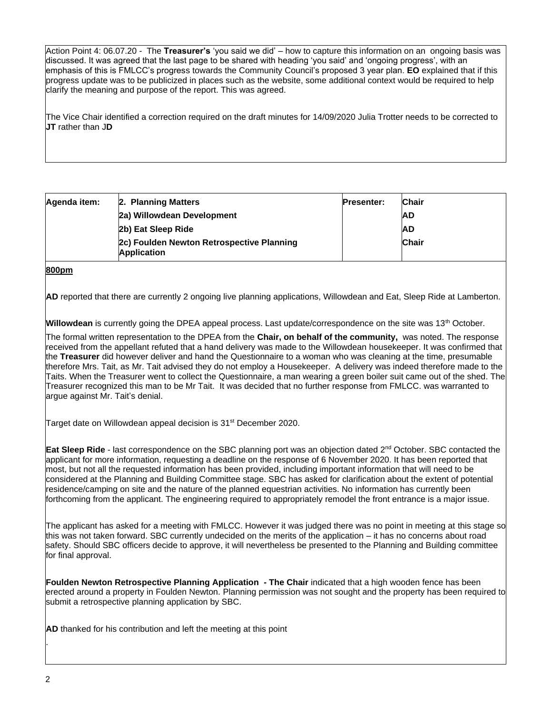Action Point 4: 06.07.20 - The **Treasurer's** 'you said we did' – how to capture this information on an ongoing basis was discussed. It was agreed that the last page to be shared with heading 'you said' and 'ongoing progress', with an emphasis of this is FMLCC's progress towards the Community Council's proposed 3 year plan. **EO** explained that if this progress update was to be publicized in places such as the website, some additional context would be required to help clarify the meaning and purpose of the report. This was agreed.

The Vice Chair identified a correction required on the draft minutes for 14/09/2020 Julia Trotter needs to be corrected to **JT** rather than J**D**

| Agenda item: | 2. Planning Matters                                             | <b>Presenter:</b> | <b>Chair</b> |
|--------------|-----------------------------------------------------------------|-------------------|--------------|
|              | 2a) Willowdean Development                                      |                   | <b>AD</b>    |
|              | 2b) Eat Sleep Ride                                              |                   | <b>AD</b>    |
|              | 2c) Foulden Newton Retrospective Planning<br><b>Application</b> |                   | Chair        |

#### **800pm**

**AD** reported that there are currently 2 ongoing live planning applications, Willowdean and Eat, Sleep Ride at Lamberton.

**Willowdean** is currently going the DPEA appeal process. Last update/correspondence on the site was 13<sup>th</sup> October.

The formal written representation to the DPEA from the **Chair, on behalf of the community,** was noted. The response received from the appellant refuted that a hand delivery was made to the Willowdean housekeeper. It was confirmed that the **Treasurer** did however deliver and hand the Questionnaire to a woman who was cleaning at the time, presumable therefore Mrs. Tait, as Mr. Tait advised they do not employ a Housekeeper. A delivery was indeed therefore made to the Taits. When the Treasurer went to collect the Questionnaire, a man wearing a green boiler suit came out of the shed. The Treasurer recognized this man to be Mr Tait. It was decided that no further response from FMLCC. was warranted to argue against Mr. Tait's denial.

Target date on Willowdean appeal decision is 31<sup>st</sup> December 2020.

**Eat Sleep Ride** - last correspondence on the SBC planning port was an objection dated 2<sup>nd</sup> October. SBC contacted the applicant for more information, requesting a deadline on the response of 6 November 2020. It has been reported that most, but not all the requested information has been provided, including important information that will need to be considered at the Planning and Building Committee stage. SBC has asked for clarification about the extent of potential residence/camping on site and the nature of the planned equestrian activities. No information has currently been forthcoming from the applicant. The engineering required to appropriately remodel the front entrance is a major issue.

The applicant has asked for a meeting with FMLCC. However it was judged there was no point in meeting at this stage so this was not taken forward. SBC currently undecided on the merits of the application – it has no concerns about road safety. Should SBC officers decide to approve, it will nevertheless be presented to the Planning and Building committee for final approval.

**Foulden Newton Retrospective Planning Application - The Chair** indicated that a high wooden fence has been erected around a property in Foulden Newton. Planning permission was not sought and the property has been required to submit a retrospective planning application by SBC.

**AD** thanked for his contribution and left the meeting at this point

.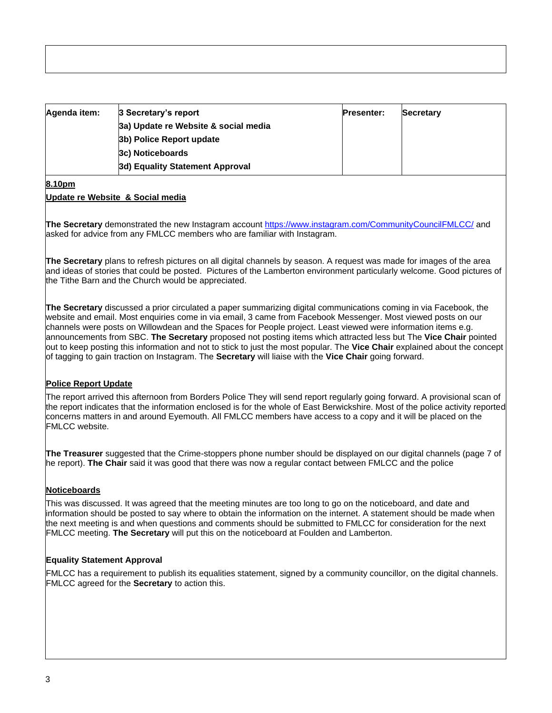| Agenda item: | 3 Secretary's report                 | <b>Presenter:</b> | Secretary |  |
|--------------|--------------------------------------|-------------------|-----------|--|
|              | 3a) Update re Website & social media |                   |           |  |
|              | 3b) Police Report update             |                   |           |  |
|              | 3c) Noticeboards                     |                   |           |  |
|              | 3d) Equality Statement Approval      |                   |           |  |

## **8.10pm**

#### **Update re Website & Social media**

**The Secretary** demonstrated the new Instagram account<https://www.instagram.com/CommunityCouncilFMLCC/> and asked for advice from any FMLCC members who are familiar with Instagram.

**The Secretary** plans to refresh pictures on all digital channels by season. A request was made for images of the area and ideas of stories that could be posted. Pictures of the Lamberton environment particularly welcome. Good pictures of the Tithe Barn and the Church would be appreciated.

**The Secretary** discussed a prior circulated a paper summarizing digital communications coming in via Facebook, the website and email. Most enquiries come in via email, 3 came from Facebook Messenger. Most viewed posts on our channels were posts on Willowdean and the Spaces for People project. Least viewed were information items e.g. announcements from SBC. **The Secretary** proposed not posting items which attracted less but The **Vice Chair** pointed out to keep posting this information and not to stick to just the most popular. The **Vice Chair** explained about the concept of tagging to gain traction on Instagram. The **Secretary** will liaise with the **Vice Chair** going forward.

#### **Police Report Update**

The report arrived this afternoon from Borders Police They will send report regularly going forward. A provisional scan of the report indicates that the information enclosed is for the whole of East Berwickshire. Most of the police activity reported concerns matters in and around Eyemouth. All FMLCC members have access to a copy and it will be placed on the FMLCC website.

**The Treasurer** suggested that the Crime-stoppers phone number should be displayed on our digital channels (page 7 of he report). **The Chair** said it was good that there was now a regular contact between FMLCC and the police

### **Noticeboards**

This was discussed. It was agreed that the meeting minutes are too long to go on the noticeboard, and date and information should be posted to say where to obtain the information on the internet. A statement should be made when the next meeting is and when questions and comments should be submitted to FMLCC for consideration for the next FMLCC meeting. **The Secretary** will put this on the noticeboard at Foulden and Lamberton.

#### **Equality Statement Approval**

FMLCC has a requirement to publish its equalities statement, signed by a community councillor, on the digital channels. FMLCC agreed for the **Secretary** to action this.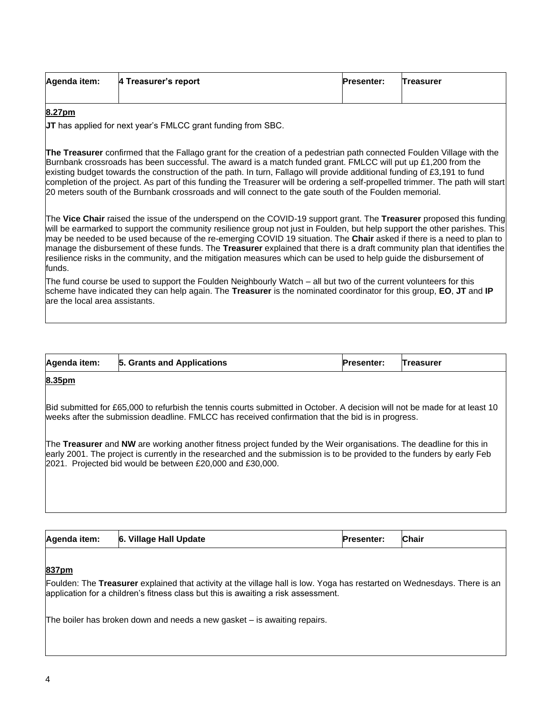| Agenda item: | 4 Treasurer's report | <b>Presenter:</b> | <b>Treasurer</b> |
|--------------|----------------------|-------------------|------------------|
|              |                      |                   |                  |

#### **8.27pm**

**JT** has applied for next year's FMLCC grant funding from SBC.

**The Treasurer** confirmed that the Fallago grant for the creation of a pedestrian path connected Foulden Village with the Burnbank crossroads has been successful. The award is a match funded grant. FMLCC will put up £1,200 from the existing budget towards the construction of the path. In turn, Fallago will provide additional funding of £3,191 to fund completion of the project. As part of this funding the Treasurer will be ordering a self-propelled trimmer. The path will start 20 meters south of the Burnbank crossroads and will connect to the gate south of the Foulden memorial.

The **Vice Chair** raised the issue of the underspend on the COVID-19 support grant. The **Treasurer** proposed this funding will be earmarked to support the community resilience group not just in Foulden, but help support the other parishes. This may be needed to be used because of the re-emerging COVID 19 situation. The **Chair** asked if there is a need to plan to manage the disbursement of these funds. The **Treasurer** explained that there is a draft community plan that identifies the resilience risks in the community, and the mitigation measures which can be used to help guide the disbursement of funds.

The fund course be used to support the Foulden Neighbourly Watch – all but two of the current volunteers for this scheme have indicated they can help again. The **Treasurer** is the nominated coordinator for this group, **EO**, **JT** and **IP**  are the local area assistants.

| Agenda item: | 5. Grants and Applications | <b>Presenter:</b> Treasurer |  |
|--------------|----------------------------|-----------------------------|--|
|              |                            |                             |  |

#### **8.35pm**

Bid submitted for £65,000 to refurbish the tennis courts submitted in October. A decision will not be made for at least 10 weeks after the submission deadline. FMLCC has received confirmation that the bid is in progress.

The **Treasurer** and **NW** are working another fitness project funded by the Weir organisations. The deadline for this in early 2001. The project is currently in the researched and the submission is to be provided to the funders by early Feb 2021. Projected bid would be between £20,000 and £30,000.

| Agenda item: | 6. Village Hall Update | <b>Presenter:</b> | <b>Chair</b> |
|--------------|------------------------|-------------------|--------------|
|              |                        |                   |              |

#### **837pm**

Foulden: The **Treasurer** explained that activity at the village hall is low. Yoga has restarted on Wednesdays. There is an application for a children's fitness class but this is awaiting a risk assessment.

The boiler has broken down and needs a new gasket – is awaiting repairs.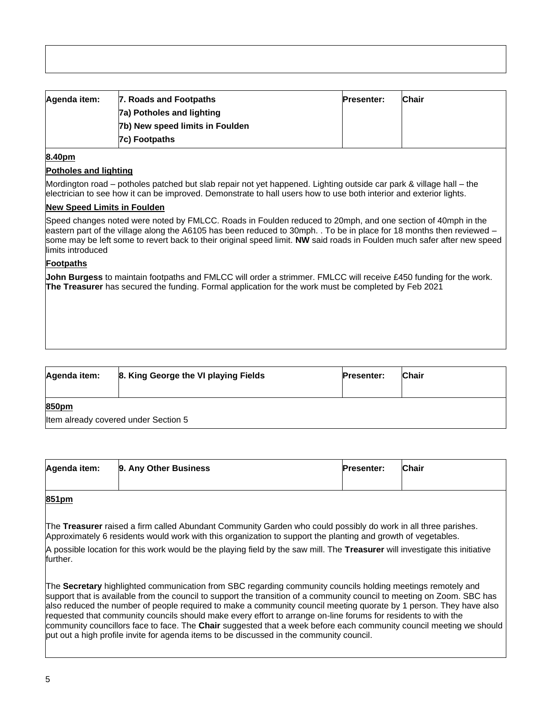| Agenda item: | 7. Roads and Footpaths          | <b>Presenter:</b> | <b>Chair</b> |
|--------------|---------------------------------|-------------------|--------------|
|              | 7a) Potholes and lighting       |                   |              |
|              | 7b) New speed limits in Foulden |                   |              |
|              | 7c) Footpaths                   |                   |              |

#### **8.40pm**

#### **Potholes and lighting**

Mordington road – potholes patched but slab repair not yet happened. Lighting outside car park & village hall – the electrician to see how it can be improved. Demonstrate to hall users how to use both interior and exterior lights.

#### **New Speed Limits in Foulden**

Speed changes noted were noted by FMLCC. Roads in Foulden reduced to 20mph, and one section of 40mph in the eastern part of the village along the A6105 has been reduced to 30mph. . To be in place for 18 months then reviewed – some may be left some to revert back to their original speed limit. **NW** said roads in Foulden much safer after new speed limits introduced

#### **Footpaths**

**John Burgess** to maintain footpaths and FMLCC will order a strimmer. FMLCC will receive £450 funding for the work. **The Treasurer** has secured the funding. Formal application for the work must be completed by Feb 2021

| Agenda item: | 8. King George the VI playing Fields | <b>Presenter:</b> | Chair |
|--------------|--------------------------------------|-------------------|-------|
| 850pm        | Item already covered under Section 5 |                   |       |

| Agenda item: | 9. Any Other Business | <b>Presenter:</b> | Chair |
|--------------|-----------------------|-------------------|-------|
|              |                       |                   |       |

## **851pm**

The **Treasurer** raised a firm called Abundant Community Garden who could possibly do work in all three parishes. Approximately 6 residents would work with this organization to support the planting and growth of vegetables.

A possible location for this work would be the playing field by the saw mill. The **Treasurer** will investigate this initiative further.

The **Secretary** highlighted communication from SBC regarding community councils holding meetings remotely and support that is available from the council to support the transition of a community council to meeting on Zoom. SBC has also reduced the number of people required to make a community council meeting quorate by 1 person. They have also requested that community councils should make every effort to arrange on-line forums for residents to with the community councillors face to face. The **Chair** suggested that a week before each community council meeting we should put out a high profile invite for agenda items to be discussed in the community council.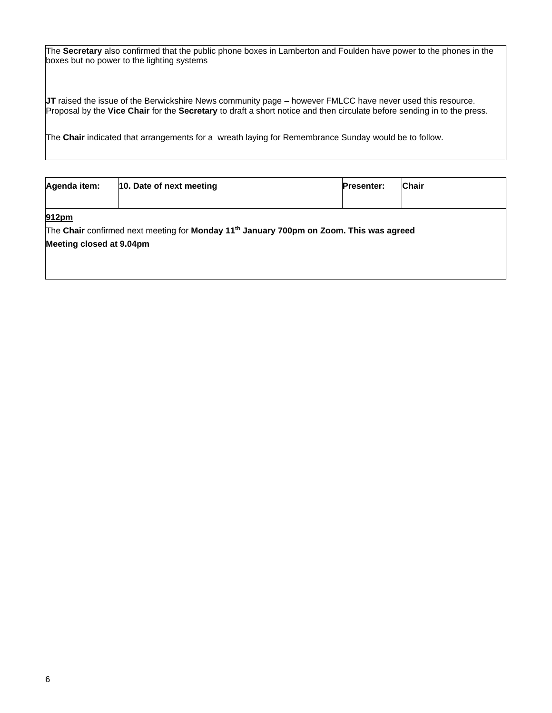The **Secretary** also confirmed that the public phone boxes in Lamberton and Foulden have power to the phones in the boxes but no power to the lighting systems

**JT** raised the issue of the Berwickshire News community page – however FMLCC have never used this resource. Proposal by the **Vice Chair** for the **Secretary** to draft a short notice and then circulate before sending in to the press.

The **Chair** indicated that arrangements for a wreath laying for Remembrance Sunday would be to follow.

| Agenda item:                      | 10. Date of next meeting                                                                            | <b>Presenter:</b> | <b>Chair</b> |  |  |  |  |
|-----------------------------------|-----------------------------------------------------------------------------------------------------|-------------------|--------------|--|--|--|--|
| 912pm<br>Meeting closed at 9.04pm | The Chair confirmed next meeting for Monday 11 <sup>th</sup> January 700pm on Zoom. This was agreed |                   |              |  |  |  |  |
|                                   |                                                                                                     |                   |              |  |  |  |  |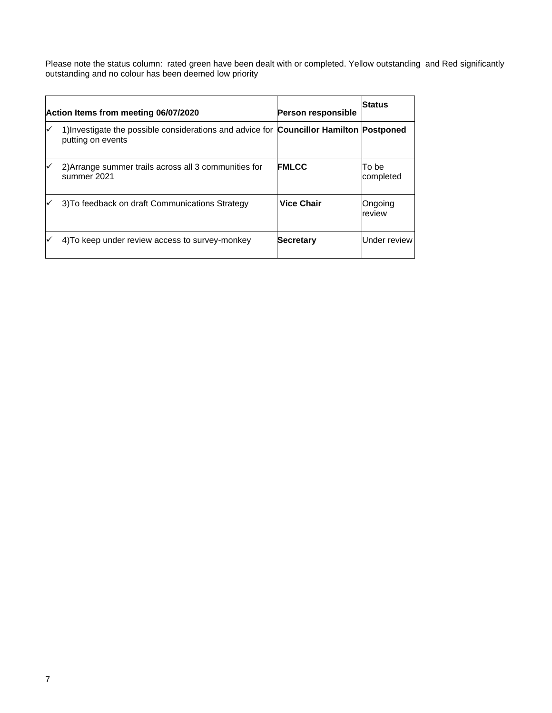Please note the status column: rated green have been dealt with or completed. Yellow outstanding and Red significantly outstanding and no colour has been deemed low priority

|   | Action Items from meeting 06/07/2020                                                                         | <b>Person responsible</b> | Status             |
|---|--------------------------------------------------------------------------------------------------------------|---------------------------|--------------------|
| ✓ | 1) Investigate the possible considerations and advice for Councillor Hamilton Postponed<br>putting on events |                           |                    |
| ✓ | 2) Arrange summer trails across all 3 communities for<br>summer 2021                                         | <b>FMLCC</b>              | To be<br>completed |
|   | 3) To feedback on draft Communications Strategy                                                              | <b>Vice Chair</b>         | Ongoing<br>review  |
|   | 4) To keep under review access to survey-monkey                                                              | <b>Secretary</b>          | Under review       |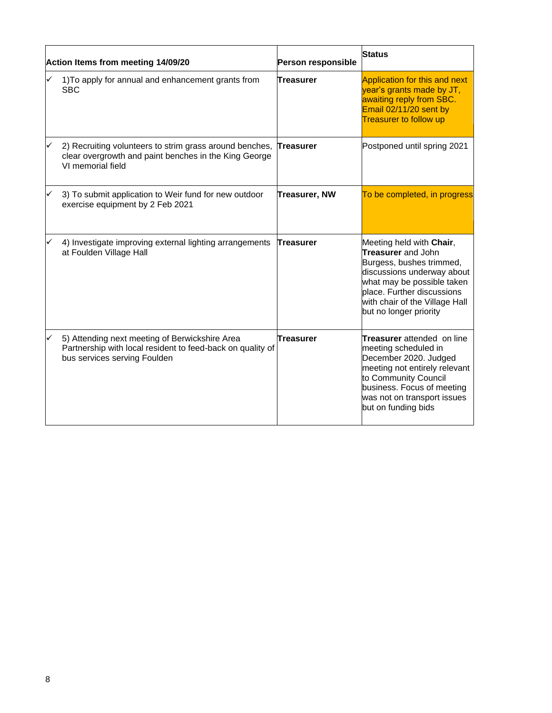|   | Action Items from meeting 14/09/20                                                                                                           | Person responsible   | <b>Status</b>                                                                                                                                                                                                                    |
|---|----------------------------------------------------------------------------------------------------------------------------------------------|----------------------|----------------------------------------------------------------------------------------------------------------------------------------------------------------------------------------------------------------------------------|
|   | 1) To apply for annual and enhancement grants from<br><b>SBC</b>                                                                             | Treasurer            | Application for this and next<br>year's grants made by JT,<br>awaiting reply from SBC.<br>Email 02/11/20 sent by<br><b>Treasurer to follow up</b>                                                                                |
| ✓ | 2) Recruiting volunteers to strim grass around benches,<br>clear overgrowth and paint benches in the King George<br>VI memorial field        | <b>Treasurer</b>     | Postponed until spring 2021                                                                                                                                                                                                      |
| ✓ | 3) To submit application to Weir fund for new outdoor<br>exercise equipment by 2 Feb 2021                                                    | <b>Treasurer, NW</b> | To be completed, in progress                                                                                                                                                                                                     |
|   | 4) Investigate improving external lighting arrangements<br>at Foulden Village Hall                                                           | <b>Treasurer</b>     | Meeting held with Chair,<br>Treasurer and John<br>Burgess, bushes trimmed,<br>discussions underway about<br>what may be possible taken<br>place. Further discussions<br>with chair of the Village Hall<br>but no longer priority |
|   | 5) Attending next meeting of Berwickshire Area<br>Partnership with local resident to feed-back on quality of<br>bus services serving Foulden | Treasurer            | <b>Treasurer</b> attended on line<br>meeting scheduled in<br>December 2020. Judged<br>meeting not entirely relevant<br>to Community Council<br>business. Focus of meeting<br>was not on transport issues<br>but on funding bids  |